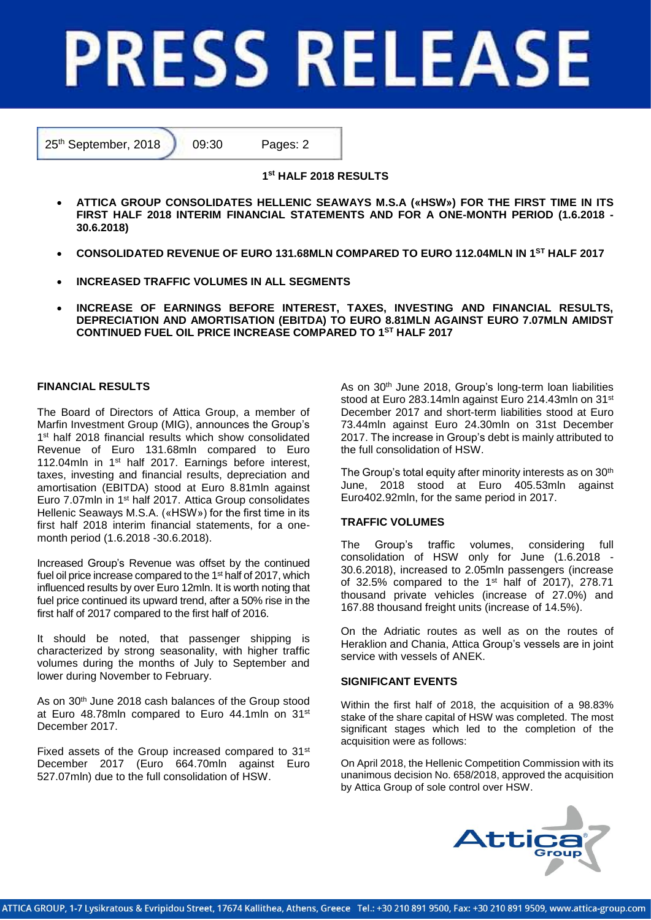# **PRESS RELEASE**

25<sup>th</sup> September, 2018 09:30 Pages: 2

# **1 st HALF 2018 RESULTS**

- **ATTICA GROUP CONSOLIDATES HELLENIC SEAWAYS M.S.A («HSW») FOR THE FIRST TIME IN ITS FIRST HALF 2018 INTERIM FINANCIAL STATEMENTS AND FOR A ONE-MONTH PERIOD (1.6.2018 - 30.6.2018)**
- **CONSOLIDATED REVENUE OF EURO 131.68MLN COMPARED TO EURO 112.04MLN IN 1ST HALF 2017**
- **INCREASED TRAFFIC VOLUMES IN ALL SEGMENTS**
- **INCREASE OF EARNINGS BEFORE INTEREST, TAXES, INVESTING AND FINANCIAL RESULTS, DEPRECIATION AND AMORTISATION (EBITDA) TO EURO 8.81MLN AGAINST EURO 7.07MLN AMIDST CONTINUED FUEL OIL PRICE INCREASE COMPARED TO 1 ST HALF 2017**

# **FINANCIAL RESULTS**

The Board of Directors of Attica Group, a member of Marfin Investment Group (MIG), announces the Group's 1<sup>st</sup> half 2018 financial results which show consolidated Revenue of Euro 131.68mln compared to Euro 112.04mln in 1st half 2017. Earnings before interest, taxes, investing and financial results, depreciation and amortisation (EBITDA) stood at Euro 8.81mln against Euro 7.07mln in 1st half 2017. Attica Group consolidates Hellenic Seaways M.S.A. («HSW») for the first time in its first half 2018 interim financial statements, for a onemonth period (1.6.2018 -30.6.2018).

Increased Group's Revenue was offset by the continued fuel oil price increase compared to the 1<sup>st</sup> half of 2017, which influenced results by over Euro 12mln. It is worth noting that fuel price continued its upward trend, after a 50% rise in the first half of 2017 compared to the first half of 2016.

It should be noted, that passenger shipping is characterized by strong seasonality, with higher traffic volumes during the months of July to September and lower during November to February.

As on 30th June 2018 cash balances of the Group stood at Euro 48.78mln compared to Euro 44.1mln on 31st December 2017.

Fixed assets of the Group increased compared to 31<sup>st</sup> December 2017 (Euro 664.70mln against Euro 527.07mln) due to the full consolidation of HSW.

As on 30th June 2018, Group's long-term loan liabilities stood at Euro 283.14mln against Euro 214.43mln on 31st December 2017 and short-term liabilities stood at Euro 73.44mln against Euro 24.30mln on 31st December 2017. The increase in Group's debt is mainly attributed to the full consolidation of HSW.

The Group's total equity after minority interests as on 30<sup>th</sup> June, 2018 stood at Euro 405.53mln against Euro402.92mln, for the same period in 2017.

# **TRAFFIC VOLUMES**

The Group's traffic volumes, considering full consolidation of HSW only for June (1.6.2018 - 30.6.2018), increased to 2.05mln passengers (increase of 32.5% compared to the  $1<sup>st</sup>$  half of 2017), 278.71 thousand private vehicles (increase of 27.0%) and 167.88 thousand freight units (increase of 14.5%).

On the Adriatic routes as well as on the routes of Heraklion and Chania, Attica Group's vessels are in joint service with vessels of ANEK.

### **SIGNIFICANT EVENTS**

Within the first half of 2018, the acquisition of a 98.83% stake of the share capital of HSW was completed. The most significant stages which led to the completion of the acquisition were as follows:

On April 2018, the Hellenic Competition Commission with its unanimous decision No. 658/2018, approved the acquisition by Attica Group of sole control over HSW.